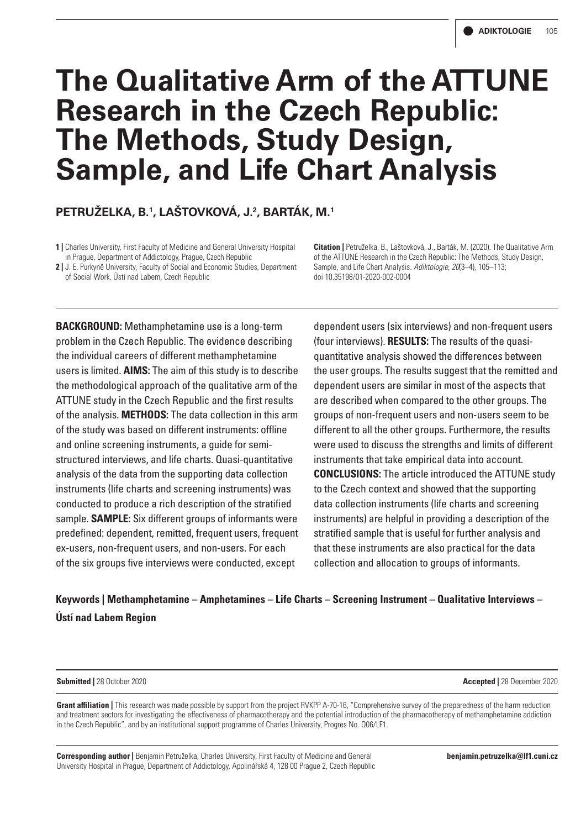# **The Qualitative Arm of the ATTUNE Research in the Czech Republic: The Methods, Study Design, Sample, and Life Chart Analysis**

**PETRUŽELKA, B.1 , LAŠTOVKOVÁ, J.2 , BARTÁK, M.1**

**1 |** Charles University, First Faculty of Medicine and General University Hospital in Prague, Department of Addictology, Prague, Czech Republic

**2 |** J. E. Purkyně University, Faculty of Social and Economic Studies, Department of Social Work, Ústí nad Labem, Czech Republic

**Citation |** Petruželka, B., Laštovková, J., Barták, M. (2020). The Qualitative Arm of the ATTUNE Research in the Czech Republic: The Methods, Study Design, Sample, and Life Chart Analysis. *Adiktologie, 20*(3–4), 105–113; doi 10.35198/01-2020-002-0004

**BACKGROUND:** Methamphetamine use is a long-term problem in the Czech Republic. The evidence describing the individual careers of different methamphetamine users is limited. **AIMS:** The aim of this study is to describe the methodological approach of the qualitative arm of the ATTUNE study in the Czech Republic and the first results of the analysis. **METHODS:** The data collection in this arm of the study was based on different instruments: offline and online screening instruments, a guide for semistructured interviews, and life charts. Quasi-quantitative analysis of the data from the supporting data collection instruments (life charts and screening instruments) was conducted to produce a rich description of the stratified sample. **SAMPLE:** Six different groups of informants were predefined: dependent, remitted, frequent users, frequent ex-users, non-frequent users, and non-users. For each of the six groups five interviews were conducted, except

dependent users (six interviews) and non-frequent users (four interviews). **RESULTS:** The results of the quasiquantitative analysis showed the differences between the user groups. The results suggest that the remitted and dependent users are similar in most of the aspects that are described when compared to the other groups. The groups of non-frequent users and non-users seem to be different to all the other groups. Furthermore, the results were used to discuss the strengths and limits of different instruments that take empirical data into account. **CONCLUSIONS:** The article introduced the ATTUNE study to the Czech context and showed that the supporting data collection instruments (life charts and screening instruments) are helpful in providing a description of the stratified sample that is useful for further analysis and that these instruments are also practical for the data collection and allocation to groups of informants.

# **Keywords | Methamphetamine – Amphetamines – Life Charts – Screening Instrument – Qualitative Interviews – Ústí nad Labem Region**

**Submitted |** 28 October 2020 **Accepted |** 28 December 2020

**Grant affiliation |** This research was made possible by support from the project RVKPP A-70-16, "Comprehensive survey of the preparedness of the harm reduction and treatment sectors for investigating the effectiveness of pharmacotherapy and the potential introduction of the pharmacotherapy of methamphetamine addiction in the Czech Republic", and by an institutional support programme of Charles University, Progres No. Q06/LF1.

**Corresponding author |** Benjamin Petruželka, Charles University, First Faculty of Medicine and General University Hospital in Prague, Department of Addictology, Apolinářská 4, 128 00 Prague 2, Czech Republic **benjamin.petruzelka@lf1.cuni.cz**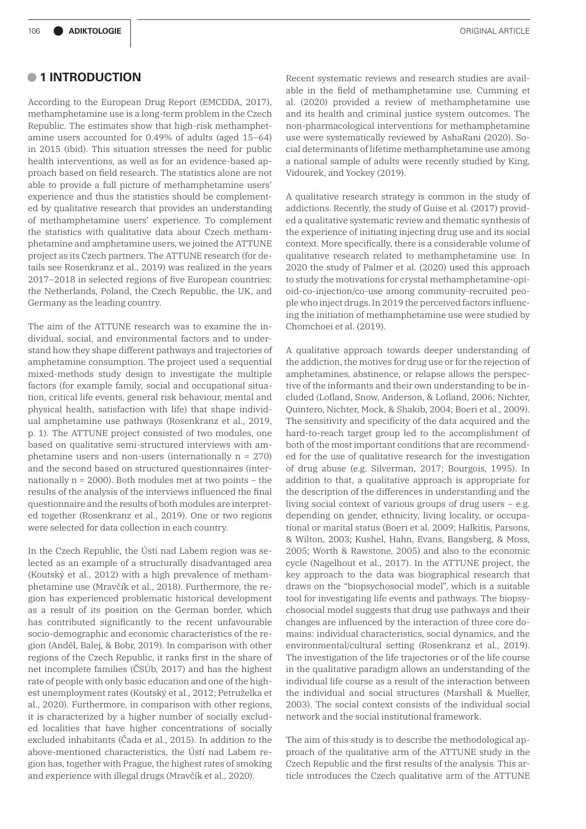# **• 1 INTRODUCTION**

According to the European Drug Report (EMCDDA, 2017), methamphetamine use is a long-term problem in the Czech Republic. The estimates show that high-risk methamphetamine users accounted for 0.49% of adults (aged 15–64) in 2015 (ibid). This situation stresses the need for public health interventions, as well as for an evidence-based approach based on field research. The statistics alone are not able to provide a full picture of methamphetamine users' experience and thus the statistics should be complemented by qualitative research that provides an understanding of methamphetamine users' experience. To complement the statistics with qualitative data about Czech methamphetamine and amphetamine users, we joined the ATTUNE project as its Czech partners. The ATTUNE research (for details see Rosenkranz et al., 2019) was realized in the years 2017–2018 in selected regions of five European countries: the Netherlands, Poland, the Czech Republic, the UK, and Germany as the leading country.

The aim of the ATTUNE research was to examine the individual, social, and environmental factors and to understand how they shape different pathways and trajectories of amphetamine consumption. The project used a sequential mixed-methods study design to investigate the multiple factors (for example family, social and occupational situation, critical life events, general risk behaviour, mental and physical health, satisfaction with life) that shape individual amphetamine use pathways (Rosenkranz et al., 2019, p. 1). The ATTUNE project consisted of two modules, one based on qualitative semi-structured interviews with amphetamine users and non-users (internationally n = 270) and the second based on structured questionnaires (internationally  $n = 2000$ ). Both modules met at two points – the results of the analysis of the interviews influenced the final questionnaire and the results of both modules are interpreted together (Rosenkranz et al., 2019). One or two regions were selected for data collection in each country.

In the Czech Republic, the Ústí nad Labem region was selected as an example of a structurally disadvantaged area (Koutský et al., 2012) with a high prevalence of methamphetamine use (Mravčík et al., 2018). Furthermore, the region has experienced problematic historical development as a result of its position on the German border, which has contributed significantly to the recent unfavourable socio-demographic and economic characteristics of the region (Anděl, Balej, & Bobr, 2019). In comparison with other regions of the Czech Republic, it ranks first in the share of net incomplete families (ČSÚb, 2017) and has the highest rate of people with only basic education and one of the highest unemployment rates (Koutský et al., 2012; Petruželka et al., 2020). Furthermore, in comparison with other regions, it is characterized by a higher number of socially excluded localities that have higher concentrations of socially excluded inhabitants (Čada et al., 2015). In addition to the above-mentioned characteristics, the Ústí nad Labem region has, together with Prague, the highest rates of smoking and experience with illegal drugs (Mravčík et al., 2020).

Recent systematic reviews and research studies are available in the field of methamphetamine use. Cumming et al. (2020) provided a review of methamphetamine use and its health and criminal justice system outcomes. The non-pharmacological interventions for methamphetamine use were systematically reviewed by AshaRani (2020). Social determinants of lifetime methamphetamine use among a national sample of adults were recently studied by King, Vidourek, and Yockey (2019).

A qualitative research strategy is common in the study of addictions. Recently, the study of Guise et al. (2017) provided a qualitative systematic review and thematic synthesis of the experience of initiating injecting drug use and its social context. More specifically, there is a considerable volume of qualitative research related to methamphetamine use. In 2020 the study of Palmer et al. (2020) used this approach to study the motivations for crystal methamphetamine-opioid-co-injection/co-use among community-recruited people who inject drugs. In 2019 the perceived factors influencing the initiation of methamphetamine use were studied by Chomchoei et al. (2019).

A qualitative approach towards deeper understanding of the addiction, the motives for drug use or for the rejection of amphetamines, abstinence, or relapse allows the perspective of the informants and their own understanding to be included (Lofland, Snow, Anderson, & Lofland, 2006; Nichter, Quintero, Nichter, Mock, & Shakib, 2004; Boeri et al., 2009). The sensitivity and specificity of the data acquired and the hard-to-reach target group led to the accomplishment of both of the most important conditions that are recommended for the use of qualitative research for the investigation of drug abuse (e.g. Silverman, 2017; Bourgois, 1995). In addition to that, a qualitative approach is appropriate for the description of the differences in understanding and the living social context of various groups of drug users – e.g. depending on gender, ethnicity, living locality, or occupational or marital status (Boeri et al. 2009; Halkitis, Parsons, & Wilton, 2003; Kushel, Hahn, Evans, Bangsberg, & Moss, 2005; Worth & Rawstone, 2005) and also to the economic cycle (Nagelhout et al., 2017). In the ATTUNE project, the key approach to the data was biographical research that draws on the "biopsychosocial model", which is a suitable tool for investigating life events and pathways. The biopsychosocial model suggests that drug use pathways and their changes are influenced by the interaction of three core domains: individual characteristics, social dynamics, and the environmental/cultural setting (Rosenkranz et al., 2019). The investigation of the life trajectories or of the life course in the qualitative paradigm allows an understanding of the individual life course as a result of the interaction between the individual and social structures (Marshall & Mueller, 2003). The social context consists of the individual social network and the social institutional framework.

The aim of this study is to describe the methodological approach of the qualitative arm of the ATTUNE study in the Czech Republic and the first results of the analysis. This article introduces the Czech qualitative arm of the ATTUNE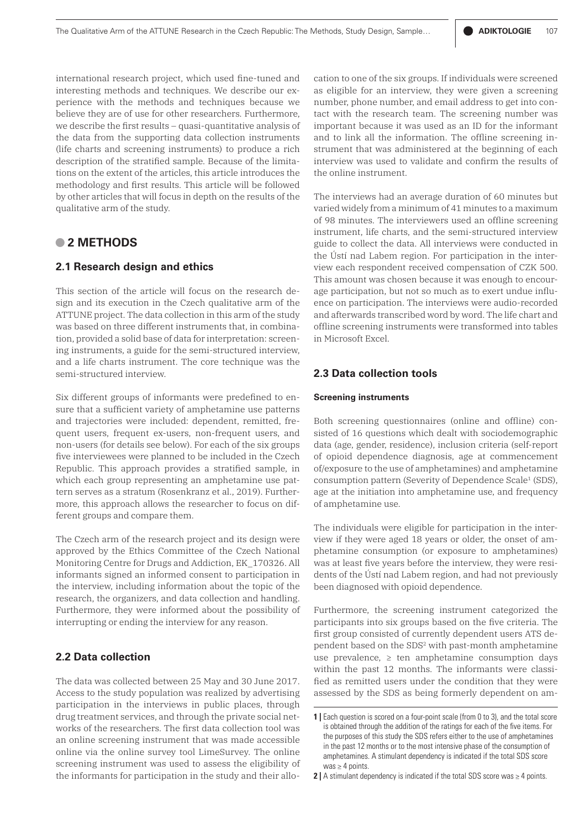international research project, which used fine-tuned and interesting methods and techniques. We describe our experience with the methods and techniques because we believe they are of use for other researchers. Furthermore, we describe the first results – quasi-quantitative analysis of the data from the supporting data collection instruments (life charts and screening instruments) to produce a rich description of the stratified sample. Because of the limitations on the extent of the articles, this article introduces the methodology and first results. This article will be followed by other articles that will focus in depth on the results of the qualitative arm of the study.

# **• 2 METHODS**

#### **2.1 Research design and ethics**

This section of the article will focus on the research design and its execution in the Czech qualitative arm of the ATTUNE project. The data collection in this arm of the study was based on three different instruments that, in combination, provided a solid base of data for interpretation: screening instruments, a guide for the semi-structured interview, and a life charts instrument. The core technique was the semi-structured interview.

Six different groups of informants were predefined to ensure that a sufficient variety of amphetamine use patterns and trajectories were included: dependent, remitted, frequent users, frequent ex-users, non-frequent users, and non-users (for details see below). For each of the six groups five interviewees were planned to be included in the Czech Republic. This approach provides a stratified sample, in which each group representing an amphetamine use pattern serves as a stratum (Rosenkranz et al., 2019). Furthermore, this approach allows the researcher to focus on different groups and compare them.

The Czech arm of the research project and its design were approved by the Ethics Committee of the Czech National Monitoring Centre for Drugs and Addiction, EK\_170326. All informants signed an informed consent to participation in the interview, including information about the topic of the research, the organizers, and data collection and handling. Furthermore, they were informed about the possibility of interrupting or ending the interview for any reason.

# **2.2 Data collection**

The data was collected between 25 May and 30 June 2017. Access to the study population was realized by advertising participation in the interviews in public places, through drug treatment services, and through the private social networks of the researchers. The first data collection tool was an online screening instrument that was made accessible online via the online survey tool LimeSurvey. The online screening instrument was used to assess the eligibility of the informants for participation in the study and their allocation to one of the six groups. If individuals were screened as eligible for an interview, they were given a screening number, phone number, and email address to get into contact with the research team. The screening number was important because it was used as an ID for the informant and to link all the information. The offline screening instrument that was administered at the beginning of each interview was used to validate and confirm the results of the online instrument.

The interviews had an average duration of 60 minutes but varied widely from a minimum of 41 minutes to a maximum of 98 minutes. The interviewers used an offline screening instrument, life charts, and the semi-structured interview guide to collect the data. All interviews were conducted in the Ústí nad Labem region. For participation in the interview each respondent received compensation of CZK 500. This amount was chosen because it was enough to encourage participation, but not so much as to exert undue influence on participation. The interviews were audio-recorded and afterwards transcribed word by word. The life chart and offline screening instruments were transformed into tables in Microsoft Excel.

## **2.3 Data collection tools**

#### **Screening instruments**

Both screening questionnaires (online and offline) consisted of 16 questions which dealt with sociodemographic data (age, gender, residence), inclusion criteria (self-report of opioid dependence diagnosis, age at commencement of/exposure to the use of amphetamines) and amphetamine consumption pattern (Severity of Dependence Scale<sup>1</sup> (SDS), age at the initiation into amphetamine use, and frequency of amphetamine use.

The individuals were eligible for participation in the interview if they were aged 18 years or older, the onset of amphetamine consumption (or exposure to amphetamines) was at least five years before the interview, they were residents of the Ústí nad Labem region, and had not previously been diagnosed with opioid dependence.

Furthermore, the screening instrument categorized the participants into six groups based on the five criteria. The first group consisted of currently dependent users ATS dependent based on the SDS<sup>2</sup> with past-month amphetamine use prevalence,  $\ge$  ten amphetamine consumption days within the past 12 months. The informants were classified as remitted users under the condition that they were assessed by the SDS as being formerly dependent on am-

<sup>1 |</sup> Each question is scored on a four-point scale (from 0 to 3), and the total score is obtained through the addition of the ratings for each of the five items. For the purposes of this study the SDS refers either to the use of amphetamines in the past 12 months or to the most intensive phase of the consumption of amphetamines. A stimulant dependency is indicated if the total SDS score was  $\geq$  4 points.

**<sup>2</sup>** | A stimulant dependency is indicated if the total SDS score was ≥ 4 points.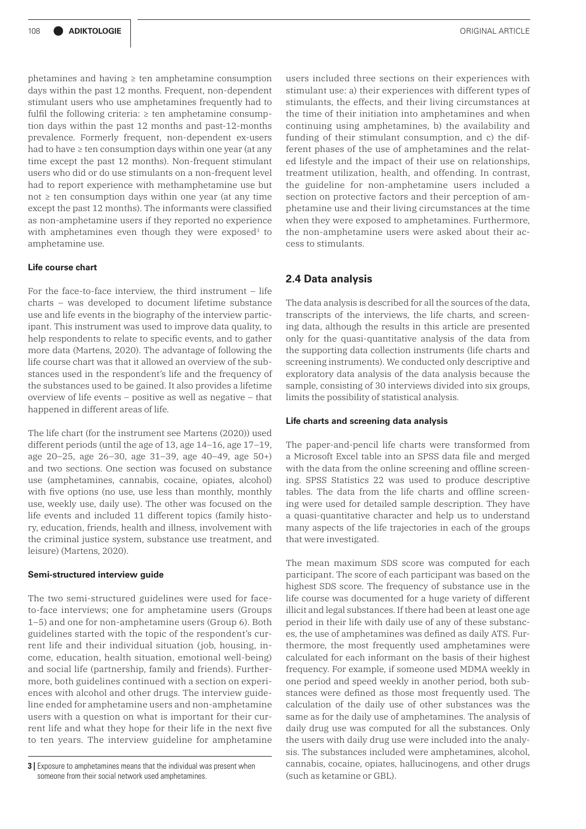phetamines and having  $\ge$  ten amphetamine consumption days within the past 12 months. Frequent, non-dependent stimulant users who use amphetamines frequently had to fulfil the following criteria:  $\ge$  ten amphetamine consumption days within the past 12 months and past-12-months prevalence. Formerly frequent, non-dependent ex-users had to have  $\ge$  ten consumption days within one year (at any time except the past 12 months). Non-frequent stimulant users who did or do use stimulants on a non-frequent level had to report experience with methamphetamine use but not ≥ ten consumption days within one year (at any time except the past 12 months). The informants were classified as non-amphetamine users if they reported no experience with amphetamines even though they were exposed<sup>3</sup> to amphetamine use.

#### **Life course chart**

For the face-to-face interview, the third instrument  $-$  life charts – was developed to document lifetime substance use and life events in the biography of the interview participant. This instrument was used to improve data quality, to help respondents to relate to specific events, and to gather more data (Martens, 2020). The advantage of following the life course chart was that it allowed an overview of the substances used in the respondent's life and the frequency of the substances used to be gained. It also provides a lifetime overview of life events – positive as well as negative – that happened in different areas of life.

The life chart (for the instrument see Martens (2020)) used different periods (until the age of 13, age 14–16, age 17–19, age 20–25, age 26–30, age 31–39, age 40–49, age 50+) and two sections. One section was focused on substance use (amphetamines, cannabis, cocaine, opiates, alcohol) with five options (no use, use less than monthly, monthly use, weekly use, daily use). The other was focused on the life events and included 11 different topics (family history, education, friends, health and illness, involvement with the criminal justice system, substance use treatment, and leisure) (Martens, 2020).

#### **Semi-structured interview guide**

The two semi-structured guidelines were used for faceto-face interviews; one for amphetamine users (Groups 1–5) and one for non-amphetamine users (Group 6). Both guidelines started with the topic of the respondent's current life and their individual situation (job, housing, income, education, health situation, emotional well-being) and social life (partnership, family and friends). Furthermore, both guidelines continued with a section on experiences with alcohol and other drugs. The interview guideline ended for amphetamine users and non-amphetamine users with a question on what is important for their current life and what they hope for their life in the next five to ten years. The interview guideline for amphetamine

users included three sections on their experiences with stimulant use: a) their experiences with different types of stimulants, the effects, and their living circumstances at the time of their initiation into amphetamines and when continuing using amphetamines, b) the availability and funding of their stimulant consumption, and c) the different phases of the use of amphetamines and the related lifestyle and the impact of their use on relationships, treatment utilization, health, and offending. In contrast, the guideline for non-amphetamine users included a section on protective factors and their perception of amphetamine use and their living circumstances at the time when they were exposed to amphetamines. Furthermore, the non-amphetamine users were asked about their access to stimulants.

#### **2.4 Data analysis**

The data analysis is described for all the sources of the data, transcripts of the interviews, the life charts, and screening data, although the results in this article are presented only for the quasi-quantitative analysis of the data from the supporting data collection instruments (life charts and screening instruments). We conducted only descriptive and exploratory data analysis of the data analysis because the sample, consisting of 30 interviews divided into six groups, limits the possibility of statistical analysis.

#### **Life charts and screening data analysis**

The paper-and-pencil life charts were transformed from a Microsoft Excel table into an SPSS data file and merged with the data from the online screening and offline screening. SPSS Statistics 22 was used to produce descriptive tables. The data from the life charts and offline screening were used for detailed sample description. They have a quasi-quantitative character and help us to understand many aspects of the life trajectories in each of the groups that were investigated.

The mean maximum SDS score was computed for each participant. The score of each participant was based on the highest SDS score. The frequency of substance use in the life course was documented for a huge variety of different illicit and legal substances. If there had been at least one age period in their life with daily use of any of these substances, the use of amphetamines was defined as daily ATS. Furthermore, the most frequently used amphetamines were calculated for each informant on the basis of their highest frequency. For example, if someone used MDMA weekly in one period and speed weekly in another period, both substances were defined as those most frequently used. The calculation of the daily use of other substances was the same as for the daily use of amphetamines. The analysis of daily drug use was computed for all the substances. Only the users with daily drug use were included into the analysis. The substances included were amphetamines, alcohol, cannabis, cocaine, opiates, hallucinogens, and other drugs (such as ketamine or GBL).

**<sup>3</sup>** Exposure to amphetamines means that the individual was present when someone from their social network used amphetamines.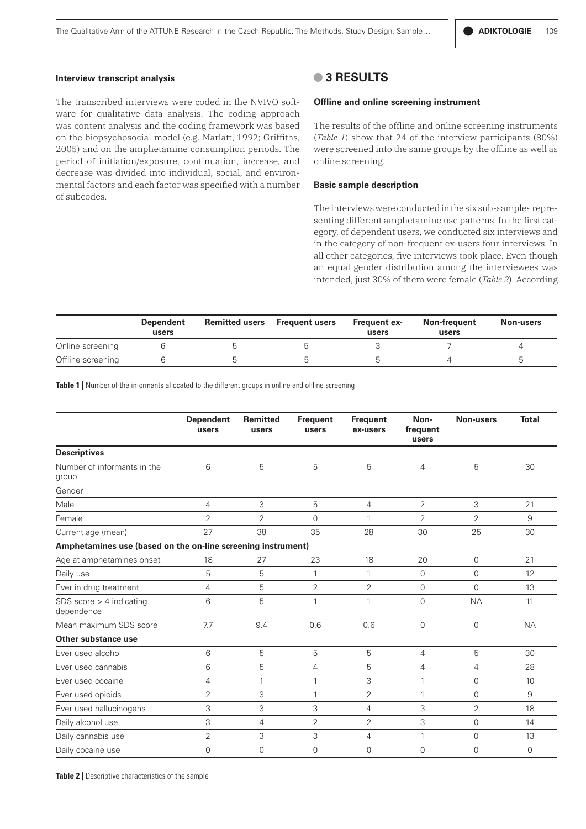#### **Interview transcript analysis**

The transcribed interviews were coded in the NVIVO software for qualitative data analysis. The coding approach was content analysis and the coding framework was based on the biopsychosocial model (e.g. Marlatt, 1992; Griffiths, 2005) and on the amphetamine consumption periods. The period of initiation/exposure, continuation, increase, and decrease was divided into individual, social, and environmental factors and each factor was specified with a number of subcodes.

### **• 3 RESULTS**

#### **Offline and online screening instrument**

The results of the offline and online screening instruments (*Table 1*) show that 24 of the interview participants (80%) were screened into the same groups by the offline as well as online screening.

#### **Basic sample description**

The interviews were conducted in the six sub-samples representing different amphetamine use patterns. In the first category, of dependent users, we conducted six interviews and in the category of non-frequent ex-users four interviews. In all other categories, five interviews took place. Even though an equal gender distribution among the interviewees was intended, just 30% of them were female (*Table 2*). According

|                   | Dependent<br>users | <b>Remitted users</b> Frequent users | <b>Frequent ex-</b><br>users | Non-frequent<br>users | Non-users |
|-------------------|--------------------|--------------------------------------|------------------------------|-----------------------|-----------|
| Online screening  |                    |                                      |                              |                       |           |
| Offline screening |                    |                                      |                              |                       |           |

**Table 1** | Number of the informants allocated to the different groups in online and offline screening

|                                                              | <b>Dependent</b><br>users | <b>Remitted</b><br>users | <b>Frequent</b><br>users | <b>Frequent</b><br>ex-users | Non-<br>frequent<br>users | <b>Non-users</b> | <b>Total</b> |
|--------------------------------------------------------------|---------------------------|--------------------------|--------------------------|-----------------------------|---------------------------|------------------|--------------|
| <b>Descriptives</b>                                          |                           |                          |                          |                             |                           |                  |              |
| Number of informants in the<br>group                         | 6                         | 5                        | 5                        | 5                           | $\overline{4}$            | 5                | 30           |
| Gender                                                       |                           |                          |                          |                             |                           |                  |              |
| Male                                                         | 4                         | 3                        | 5                        | $\overline{4}$              | $\overline{2}$            | 3                | 21           |
| Female                                                       | 2                         | $\overline{2}$           | $\Omega$                 | 1                           | $\overline{2}$            | 2                | 9            |
| Current age (mean)                                           | 27                        | 38                       | 35                       | 28                          | 30                        | 25               | 30           |
| Amphetamines use (based on the on-line screening instrument) |                           |                          |                          |                             |                           |                  |              |
| Age at amphetamines onset                                    | 18                        | 27                       | 23                       | 18                          | 20                        | $\Omega$         | 21           |
| Daily use                                                    | 5                         | 5                        | 1                        | $\mathbf{1}$                | $\Omega$                  | $\Omega$         | 12           |
| Ever in drug treatment                                       | 4                         | 5                        | 2                        | 2                           | $\Omega$                  | $\Omega$         | 13           |
| SDS score $>$ 4 indicating<br>dependence                     | 6                         | 5                        | 1                        | $\mathbf{1}$                | $\Omega$                  | <b>NA</b>        | 11           |
| Mean maximum SDS score                                       | 7.7                       | 9.4                      | 0.6                      | 0.6                         | $\mathbf{0}$              | $\Omega$         | <b>NA</b>    |
| Other substance use                                          |                           |                          |                          |                             |                           |                  |              |
| Ever used alcohol                                            | 6                         | 5                        | 5                        | 5                           | $\overline{4}$            | 5                | 30           |
| Ever used cannabis                                           | 6                         | 5                        | $\overline{4}$           | 5                           | 4                         | 4                | 28           |
| Ever used cocaine                                            | 4                         | $\mathbf{1}$             | 1                        | 3                           | $\mathbf{1}$              | $\mathbf 0$      | 10           |
| Ever used opioids                                            | $\overline{2}$            | 3                        | 1                        | $\overline{2}$              | $\mathbf{1}$              | $\Omega$         | 9            |
| Ever used hallucinogens                                      | 3                         | 3                        | 3                        | $\overline{4}$              | 3                         | $\overline{2}$   | 18           |
| Daily alcohol use                                            | 3                         | $\overline{4}$           | $\overline{2}$           | $\overline{2}$              | 3                         | $\Omega$         | 14           |
| Daily cannabis use                                           | 2                         | 3                        | 3                        | 4                           | 1                         | $\mathbf 0$      | 13           |
| Daily cocaine use                                            | $\mathbf 0$               | $\Omega$                 | $\Omega$                 | $\Omega$                    | $\overline{0}$            | $\Omega$         | $\mathbf 0$  |

**Table 2** | Descriptive characteristics of the sample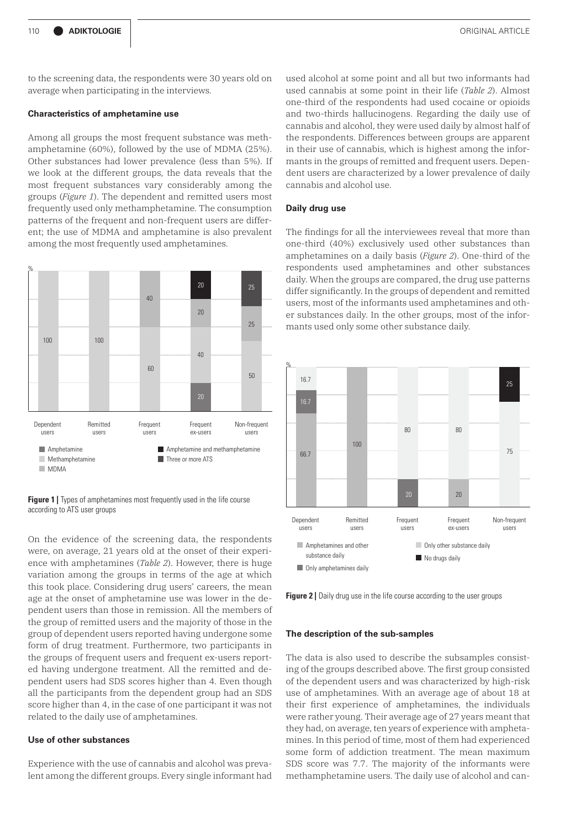to the screening data, the respondents were 30 years old on average when participating in the interviews.

#### **Characteristics of amphetamine use**

Among all groups the most frequent substance was methamphetamine (60%), followed by the use of MDMA (25%). Other substances had lower prevalence (less than 5%). If we look at the different groups, the data reveals that the most frequent substances vary considerably among the groups (*Figure 1*). The dependent and remitted users most frequently used only methamphetamine. The consumption patterns of the frequent and non-frequent users are different; the use of MDMA and amphetamine is also prevalent among the most frequently used amphetamines.



**Figure 1** | Types of amphetamines most frequently used in the life course according to ATS user groups

On the evidence of the screening data, the respondents were, on average, 21 years old at the onset of their experience with amphetamines (*Table 2*). However, there is huge variation among the groups in terms of the age at which this took place. Considering drug users' careers, the mean age at the onset of amphetamine use was lower in the dependent users than those in remission. All the members of the group of remitted users and the majority of those in the group of dependent users reported having undergone some form of drug treatment. Furthermore, two participants in the groups of frequent users and frequent ex-users reported having undergone treatment. All the remitted and dependent users had SDS scores higher than 4. Even though all the participants from the dependent group had an SDS score higher than 4, in the case of one participant it was not related to the daily use of amphetamines.

#### **Use of other substances**

Experience with the use of cannabis and alcohol was prevalent among the different groups. Every single informant had used alcohol at some point and all but two informants had used cannabis at some point in their life (*Table 2*). Almost one-third of the respondents had used cocaine or opioids and two-thirds hallucinogens. Regarding the daily use of cannabis and alcohol, they were used daily by almost half of the respondents. Differences between groups are apparent in their use of cannabis, which is highest among the informants in the groups of remitted and frequent users. Dependent users are characterized by a lower prevalence of daily cannabis and alcohol use.

#### **Daily drug use**

The findings for all the interviewees reveal that more than one-third (40%) exclusively used other substances than amphetamines on a daily basis (*Figure 2*). One-third of the respondents used amphetamines and other substances daily. When the groups are compared, the drug use patterns differ significantly. In the groups of dependent and remitted users, most of the informants used amphetamines and other substances daily. In the other groups, most of the informants used only some other substance daily.



**Figure 2** | Daily drug use in the life course according to the user groups

#### **The description of the sub-samples**

The data is also used to describe the subsamples consisting of the groups described above. The first group consisted of the dependent users and was characterized by high-risk use of amphetamines. With an average age of about 18 at their first experience of amphetamines, the individuals were rather young. Their average age of 27 years meant that they had, on average, ten years of experience with amphetamines. In this period of time, most of them had experienced some form of addiction treatment. The mean maximum SDS score was 7.7. The majority of the informants were methamphetamine users. The daily use of alcohol and can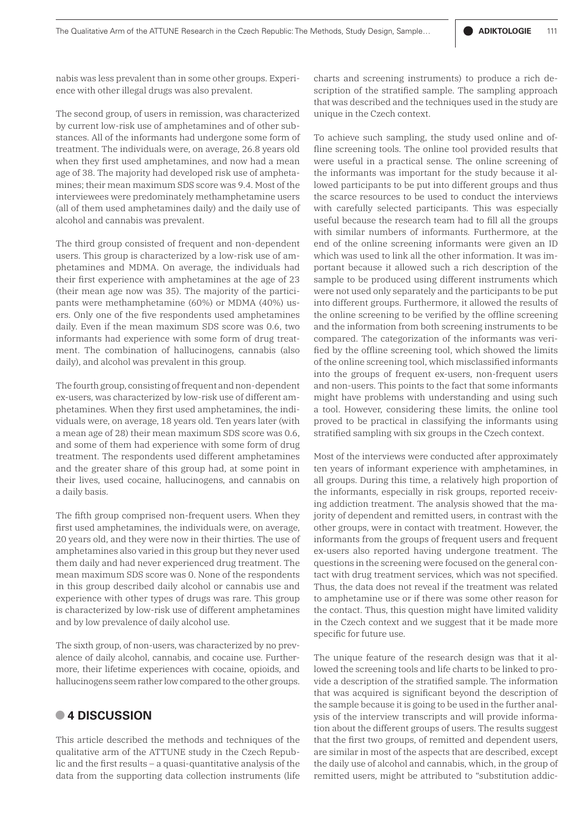nabis was less prevalent than in some other groups. Experience with other illegal drugs was also prevalent.

The second group, of users in remission, was characterized by current low-risk use of amphetamines and of other substances. All of the informants had undergone some form of treatment. The individuals were, on average, 26.8 years old when they first used amphetamines, and now had a mean age of 38. The majority had developed risk use of amphetamines; their mean maximum SDS score was 9.4. Most of the interviewees were predominately methamphetamine users (all of them used amphetamines daily) and the daily use of alcohol and cannabis was prevalent.

The third group consisted of frequent and non-dependent users. This group is characterized by a low-risk use of amphetamines and MDMA. On average, the individuals had their first experience with amphetamines at the age of 23 (their mean age now was 35). The majority of the participants were methamphetamine (60%) or MDMA (40%) users. Only one of the five respondents used amphetamines daily. Even if the mean maximum SDS score was 0.6, two informants had experience with some form of drug treatment. The combination of hallucinogens, cannabis (also daily), and alcohol was prevalent in this group.

The fourth group, consisting of frequent and non-dependent ex-users, was characterized by low-risk use of different amphetamines. When they first used amphetamines, the individuals were, on average, 18 years old. Ten years later (with a mean age of 28) their mean maximum SDS score was 0.6, and some of them had experience with some form of drug treatment. The respondents used different amphetamines and the greater share of this group had, at some point in their lives, used cocaine, hallucinogens, and cannabis on a daily basis.

The fifth group comprised non-frequent users. When they first used amphetamines, the individuals were, on average, 20 years old, and they were now in their thirties. The use of amphetamines also varied in this group but they never used them daily and had never experienced drug treatment. The mean maximum SDS score was 0. None of the respondents in this group described daily alcohol or cannabis use and experience with other types of drugs was rare. This group is characterized by low-risk use of different amphetamines and by low prevalence of daily alcohol use.

The sixth group, of non-users, was characterized by no prevalence of daily alcohol, cannabis, and cocaine use. Furthermore, their lifetime experiences with cocaine, opioids, and hallucinogens seem rather low compared to the other groups.

# **• 4 DISCUSSION**

This article described the methods and techniques of the qualitative arm of the ATTUNE study in the Czech Republic and the first results – a quasi-quantitative analysis of the data from the supporting data collection instruments (life

charts and screening instruments) to produce a rich description of the stratified sample. The sampling approach that was described and the techniques used in the study are unique in the Czech context.

To achieve such sampling, the study used online and offline screening tools. The online tool provided results that were useful in a practical sense. The online screening of the informants was important for the study because it allowed participants to be put into different groups and thus the scarce resources to be used to conduct the interviews with carefully selected participants. This was especially useful because the research team had to fill all the groups with similar numbers of informants. Furthermore, at the end of the online screening informants were given an ID which was used to link all the other information. It was important because it allowed such a rich description of the sample to be produced using different instruments which were not used only separately and the participants to be put into different groups. Furthermore, it allowed the results of the online screening to be verified by the offline screening and the information from both screening instruments to be compared. The categorization of the informants was verified by the offline screening tool, which showed the limits of the online screening tool, which misclassified informants into the groups of frequent ex-users, non-frequent users and non-users. This points to the fact that some informants might have problems with understanding and using such a tool. However, considering these limits, the online tool proved to be practical in classifying the informants using stratified sampling with six groups in the Czech context.

Most of the interviews were conducted after approximately ten years of informant experience with amphetamines, in all groups. During this time, a relatively high proportion of the informants, especially in risk groups, reported receiving addiction treatment. The analysis showed that the majority of dependent and remitted users, in contrast with the other groups, were in contact with treatment. However, the informants from the groups of frequent users and frequent ex-users also reported having undergone treatment. The questions in the screening were focused on the general contact with drug treatment services, which was not specified. Thus, the data does not reveal if the treatment was related to amphetamine use or if there was some other reason for the contact. Thus, this question might have limited validity in the Czech context and we suggest that it be made more specific for future use.

The unique feature of the research design was that it allowed the screening tools and life charts to be linked to provide a description of the stratified sample. The information that was acquired is significant beyond the description of the sample because it is going to be used in the further analysis of the interview transcripts and will provide information about the different groups of users. The results suggest that the first two groups, of remitted and dependent users, are similar in most of the aspects that are described, except the daily use of alcohol and cannabis, which, in the group of remitted users, might be attributed to "substitution addic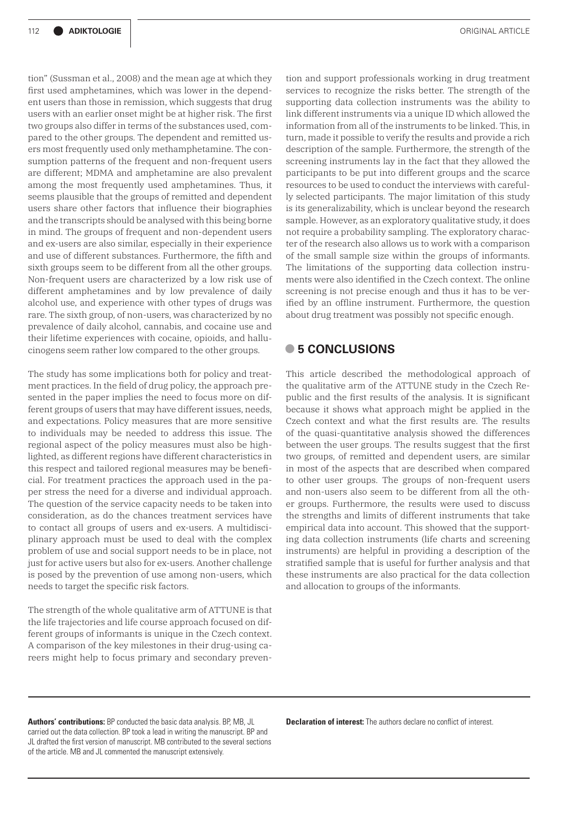tion" (Sussman et al., 2008) and the mean age at which they first used amphetamines, which was lower in the dependent users than those in remission, which suggests that drug users with an earlier onset might be at higher risk. The first two groups also differ in terms of the substances used, compared to the other groups. The dependent and remitted users most frequently used only methamphetamine. The consumption patterns of the frequent and non-frequent users are different; MDMA and amphetamine are also prevalent among the most frequently used amphetamines. Thus, it seems plausible that the groups of remitted and dependent users share other factors that influence their biographies and the transcripts should be analysed with this being borne in mind. The groups of frequent and non-dependent users and ex-users are also similar, especially in their experience and use of different substances. Furthermore, the fifth and sixth groups seem to be different from all the other groups. Non-frequent users are characterized by a low risk use of different amphetamines and by low prevalence of daily alcohol use, and experience with other types of drugs was rare. The sixth group, of non-users, was characterized by no prevalence of daily alcohol, cannabis, and cocaine use and their lifetime experiences with cocaine, opioids, and hallucinogens seem rather low compared to the other groups.

The study has some implications both for policy and treatment practices. In the field of drug policy, the approach presented in the paper implies the need to focus more on different groups of users that may have different issues, needs, and expectations. Policy measures that are more sensitive to individuals may be needed to address this issue. The regional aspect of the policy measures must also be highlighted, as different regions have different characteristics in this respect and tailored regional measures may be beneficial. For treatment practices the approach used in the paper stress the need for a diverse and individual approach. The question of the service capacity needs to be taken into consideration, as do the chances treatment services have to contact all groups of users and ex-users. A multidisciplinary approach must be used to deal with the complex problem of use and social support needs to be in place, not just for active users but also for ex-users. Another challenge is posed by the prevention of use among non-users, which needs to target the specific risk factors.

The strength of the whole qualitative arm of ATTUNE is that the life trajectories and life course approach focused on different groups of informants is unique in the Czech context. A comparison of the key milestones in their drug-using careers might help to focus primary and secondary preven-

tion and support professionals working in drug treatment services to recognize the risks better. The strength of the supporting data collection instruments was the ability to link different instruments via a unique ID which allowed the information from all of the instruments to be linked. This, in turn, made it possible to verify the results and provide a rich description of the sample. Furthermore, the strength of the screening instruments lay in the fact that they allowed the participants to be put into different groups and the scarce resources to be used to conduct the interviews with carefully selected participants. The major limitation of this study is its generalizability, which is unclear beyond the research sample. However, as an exploratory qualitative study, it does not require a probability sampling. The exploratory character of the research also allows us to work with a comparison of the small sample size within the groups of informants. The limitations of the supporting data collection instruments were also identified in the Czech context. The online screening is not precise enough and thus it has to be verified by an offline instrument. Furthermore, the question about drug treatment was possibly not specific enough.

# **• 5 CONCLUSIONS**

This article described the methodological approach of the qualitative arm of the ATTUNE study in the Czech Republic and the first results of the analysis. It is significant because it shows what approach might be applied in the Czech context and what the first results are. The results of the quasi-quantitative analysis showed the differences between the user groups. The results suggest that the first two groups, of remitted and dependent users, are similar in most of the aspects that are described when compared to other user groups. The groups of non-frequent users and non-users also seem to be different from all the other groups. Furthermore, the results were used to discuss the strengths and limits of different instruments that take empirical data into account. This showed that the supporting data collection instruments (life charts and screening instruments) are helpful in providing a description of the stratified sample that is useful for further analysis and that these instruments are also practical for the data collection and allocation to groups of the informants.

**Authors' contributions:** BP conducted the basic data analysis. BP, MB, JL carried out the data collection. BP took a lead in writing the manuscript. BP and JL drafted the first version of manuscript. MB contributed to the several sections of the article. MB and JL commented the manuscript extensively.

**Declaration of interest:** The authors declare no conflict of interest.